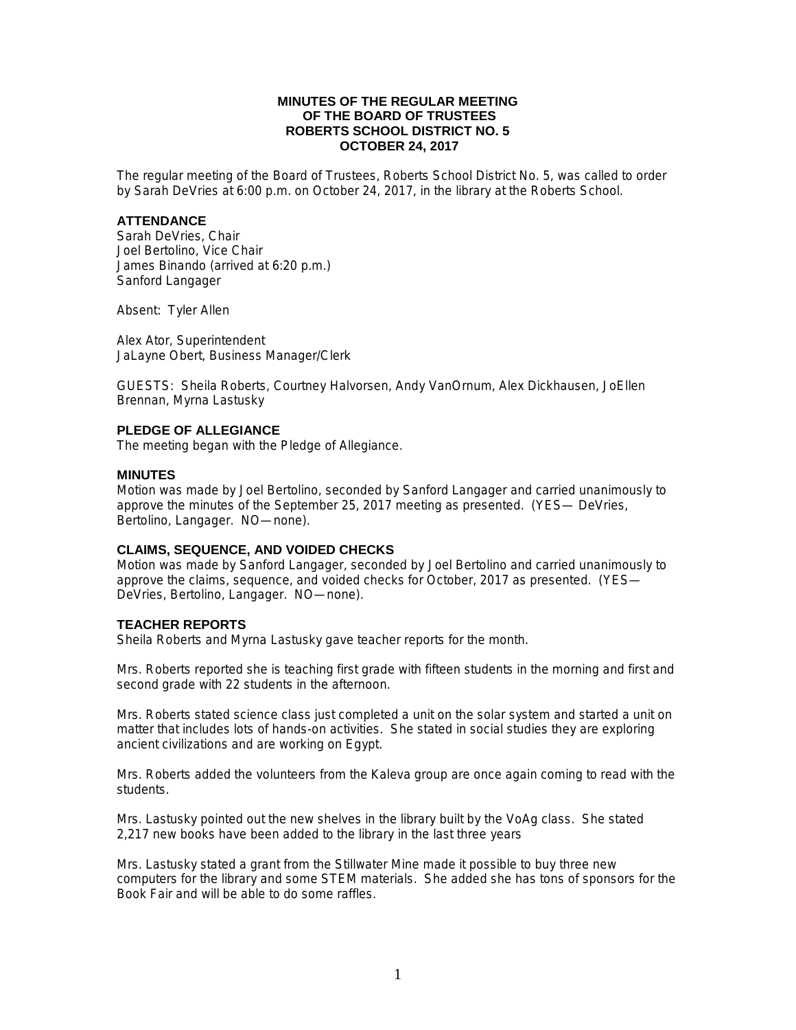## **MINUTES OF THE REGULAR MEETING OF THE BOARD OF TRUSTEES ROBERTS SCHOOL DISTRICT NO. 5 OCTOBER 24, 2017**

The regular meeting of the Board of Trustees, Roberts School District No. 5, was called to order by Sarah DeVries at 6:00 p.m. on October 24, 2017, in the library at the Roberts School.

#### **ATTENDANCE**

Sarah DeVries, Chair Joel Bertolino, Vice Chair James Binando (arrived at 6:20 p.m.) Sanford Langager

Absent: Tyler Allen

Alex Ator, Superintendent JaLayne Obert, Business Manager/Clerk

GUESTS: Sheila Roberts, Courtney Halvorsen, Andy VanOrnum, Alex Dickhausen, JoEllen Brennan, Myrna Lastusky

## **PLEDGE OF ALLEGIANCE**

The meeting began with the Pledge of Allegiance.

#### **MINUTES**

Motion was made by Joel Bertolino, seconded by Sanford Langager and carried unanimously to approve the minutes of the September 25, 2017 meeting as presented. (YES— DeVries, Bertolino, Langager. NO—none).

# **CLAIMS, SEQUENCE, AND VOIDED CHECKS**

Motion was made by Sanford Langager, seconded by Joel Bertolino and carried unanimously to approve the claims, sequence, and voided checks for October, 2017 as presented. (YES— DeVries, Bertolino, Langager. NO—none).

## **TEACHER REPORTS**

Sheila Roberts and Myrna Lastusky gave teacher reports for the month.

Mrs. Roberts reported she is teaching first grade with fifteen students in the morning and first and second grade with 22 students in the afternoon.

Mrs. Roberts stated science class just completed a unit on the solar system and started a unit on matter that includes lots of hands-on activities. She stated in social studies they are exploring ancient civilizations and are working on Egypt.

Mrs. Roberts added the volunteers from the Kaleva group are once again coming to read with the students.

Mrs. Lastusky pointed out the new shelves in the library built by the VoAg class. She stated 2,217 new books have been added to the library in the last three years

Mrs. Lastusky stated a grant from the Stillwater Mine made it possible to buy three new computers for the library and some STEM materials. She added she has tons of sponsors for the Book Fair and will be able to do some raffles.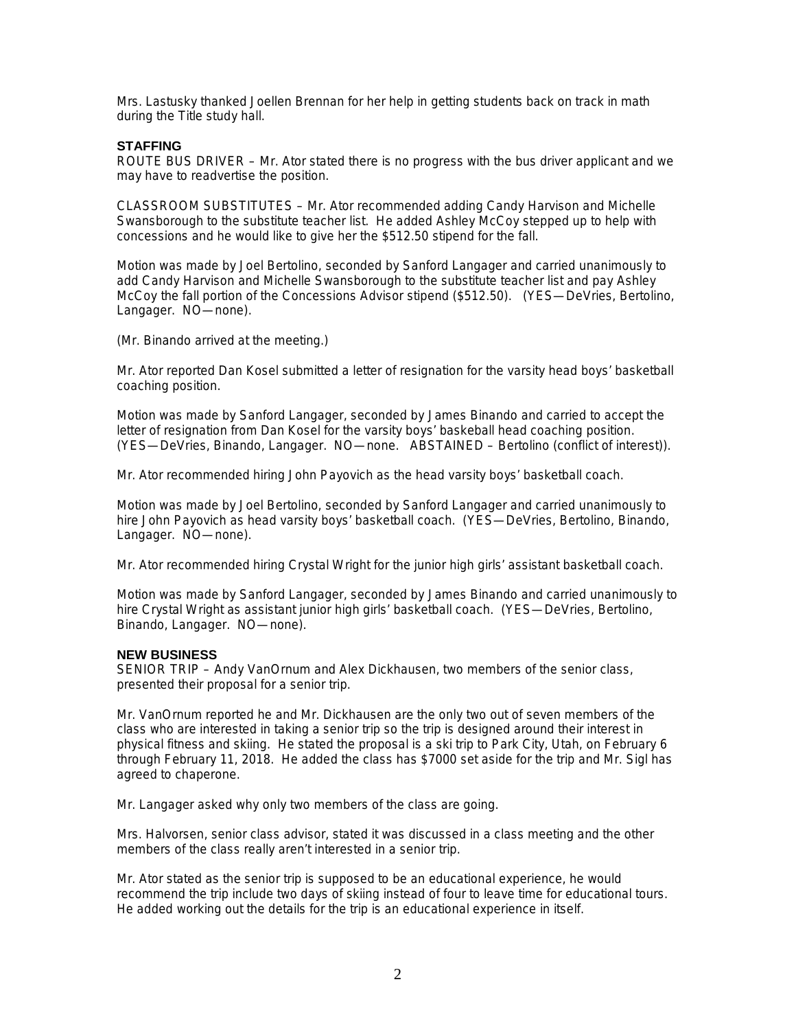Mrs. Lastusky thanked Joellen Brennan for her help in getting students back on track in math during the Title study hall.

## **STAFFING**

ROUTE BUS DRIVER – Mr. Ator stated there is no progress with the bus driver applicant and we may have to readvertise the position.

CLASSROOM SUBSTITUTES – Mr. Ator recommended adding Candy Harvison and Michelle Swansborough to the substitute teacher list. He added Ashley McCoy stepped up to help with concessions and he would like to give her the \$512.50 stipend for the fall.

Motion was made by Joel Bertolino, seconded by Sanford Langager and carried unanimously to add Candy Harvison and Michelle Swansborough to the substitute teacher list and pay Ashley McCoy the fall portion of the Concessions Advisor stipend (\$512.50). (YES—DeVries, Bertolino, Langager. NO—none).

(Mr. Binando arrived at the meeting.)

Mr. Ator reported Dan Kosel submitted a letter of resignation for the varsity head boys' basketball coaching position.

Motion was made by Sanford Langager, seconded by James Binando and carried to accept the letter of resignation from Dan Kosel for the varsity boys' baskeball head coaching position. (YES—DeVries, Binando, Langager. NO—none. ABSTAINED – Bertolino (conflict of interest)).

Mr. Ator recommended hiring John Payovich as the head varsity boys' basketball coach.

Motion was made by Joel Bertolino, seconded by Sanford Langager and carried unanimously to hire John Payovich as head varsity boys' basketball coach. (YES—DeVries, Bertolino, Binando, Langager. NO—none).

Mr. Ator recommended hiring Crystal Wright for the junior high girls' assistant basketball coach.

Motion was made by Sanford Langager, seconded by James Binando and carried unanimously to hire Crystal Wright as assistant junior high girls' basketball coach. (YES—DeVries, Bertolino, Binando, Langager. NO—none).

#### **NEW BUSINESS**

SENIOR TRIP – Andy VanOrnum and Alex Dickhausen, two members of the senior class, presented their proposal for a senior trip.

Mr. VanOrnum reported he and Mr. Dickhausen are the only two out of seven members of the class who are interested in taking a senior trip so the trip is designed around their interest in physical fitness and skiing. He stated the proposal is a ski trip to Park City, Utah, on February 6 through February 11, 2018. He added the class has \$7000 set aside for the trip and Mr. Sigl has agreed to chaperone.

Mr. Langager asked why only two members of the class are going.

Mrs. Halvorsen, senior class advisor, stated it was discussed in a class meeting and the other members of the class really aren't interested in a senior trip.

Mr. Ator stated as the senior trip is supposed to be an educational experience, he would recommend the trip include two days of skiing instead of four to leave time for educational tours. He added working out the details for the trip is an educational experience in itself.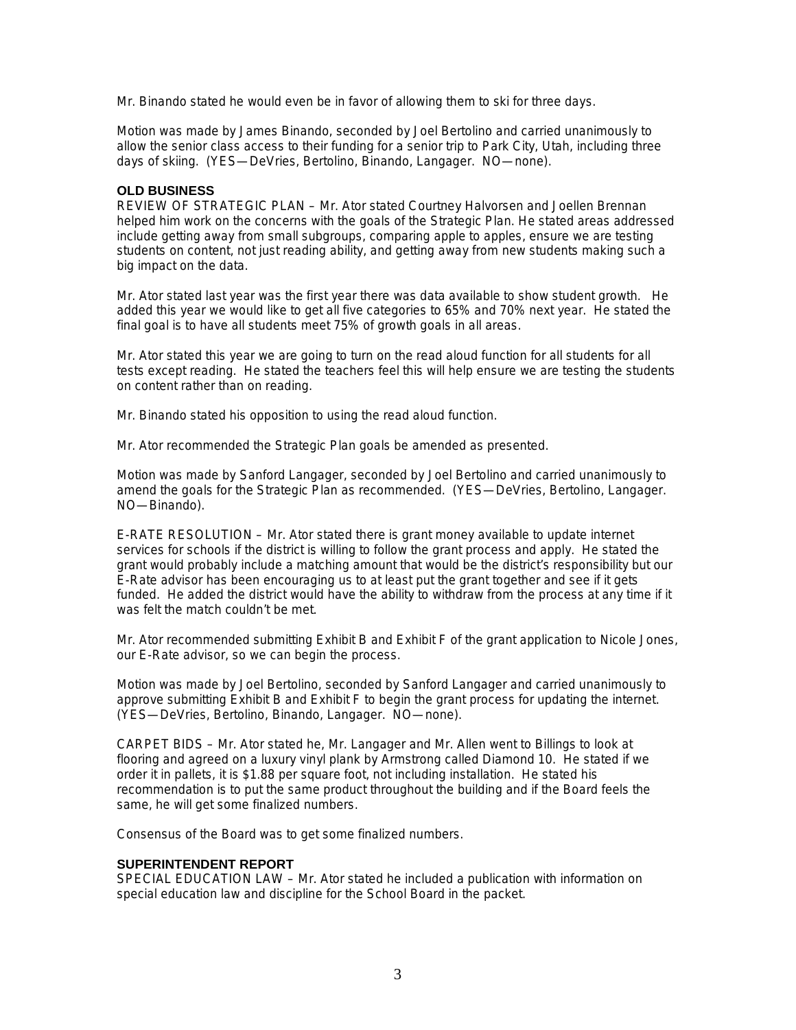Mr. Binando stated he would even be in favor of allowing them to ski for three days.

Motion was made by James Binando, seconded by Joel Bertolino and carried unanimously to allow the senior class access to their funding for a senior trip to Park City, Utah, including three days of skiing. (YES—DeVries, Bertolino, Binando, Langager. NO—none).

#### **OLD BUSINESS**

REVIEW OF STRATEGIC PLAN – Mr. Ator stated Courtney Halvorsen and Joellen Brennan helped him work on the concerns with the goals of the Strategic Plan. He stated areas addressed include getting away from small subgroups, comparing apple to apples, ensure we are testing students on content, not just reading ability, and getting away from new students making such a big impact on the data.

Mr. Ator stated last year was the first year there was data available to show student growth. He added this year we would like to get all five categories to 65% and 70% next year. He stated the final goal is to have all students meet 75% of growth goals in all areas.

Mr. Ator stated this year we are going to turn on the read aloud function for all students for all tests except reading. He stated the teachers feel this will help ensure we are testing the students on content rather than on reading.

Mr. Binando stated his opposition to using the read aloud function.

Mr. Ator recommended the Strategic Plan goals be amended as presented.

Motion was made by Sanford Langager, seconded by Joel Bertolino and carried unanimously to amend the goals for the Strategic Plan as recommended. (YES—DeVries, Bertolino, Langager. NO—Binando).

E-RATE RESOLUTION – Mr. Ator stated there is grant money available to update internet services for schools if the district is willing to follow the grant process and apply. He stated the grant would probably include a matching amount that would be the district's responsibility but our E-Rate advisor has been encouraging us to at least put the grant together and see if it gets funded. He added the district would have the ability to withdraw from the process at any time if it was felt the match couldn't be met.

Mr. Ator recommended submitting Exhibit B and Exhibit F of the grant application to Nicole Jones, our E-Rate advisor, so we can begin the process.

Motion was made by Joel Bertolino, seconded by Sanford Langager and carried unanimously to approve submitting Exhibit B and Exhibit F to begin the grant process for updating the internet. (YES—DeVries, Bertolino, Binando, Langager. NO—none).

CARPET BIDS – Mr. Ator stated he, Mr. Langager and Mr. Allen went to Billings to look at flooring and agreed on a luxury vinyl plank by Armstrong called Diamond 10. He stated if we order it in pallets, it is \$1.88 per square foot, not including installation. He stated his recommendation is to put the same product throughout the building and if the Board feels the same, he will get some finalized numbers.

Consensus of the Board was to get some finalized numbers.

## **SUPERINTENDENT REPORT**

SPECIAL EDUCATION LAW – Mr. Ator stated he included a publication with information on special education law and discipline for the School Board in the packet.